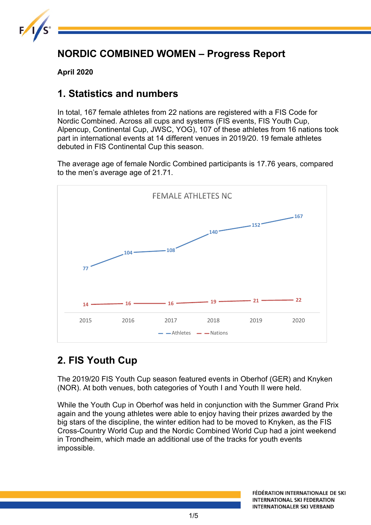

## **NORDIC COMBINED WOMEN – Progress Report**

**April 2020**

### **1. Statistics and numbers**

In total, 167 female athletes from 22 nations are registered with a FIS Code for Nordic Combined. Across all cups and systems (FIS events, FIS Youth Cup, Alpencup, Continental Cup, JWSC, YOG), 107 of these athletes from 16 nations took part in international events at 14 different venues in 2019/20. 19 female athletes debuted in FIS Continental Cup this season.

The average age of female Nordic Combined participants is 17.76 years, compared to the men's average age of 21.71.



## **2. FIS Youth Cup**

The 2019/20 FIS Youth Cup season featured events in Oberhof (GER) and Knyken (NOR). At both venues, both categories of Youth I and Youth II were held.

While the Youth Cup in Oberhof was held in conjunction with the Summer Grand Prix again and the young athletes were able to enjoy having their prizes awarded by the big stars of the discipline, the winter edition had to be moved to Knyken, as the FIS Cross-Country World Cup and the Nordic Combined World Cup had a joint weekend in Trondheim, which made an additional use of the tracks for youth events impossible.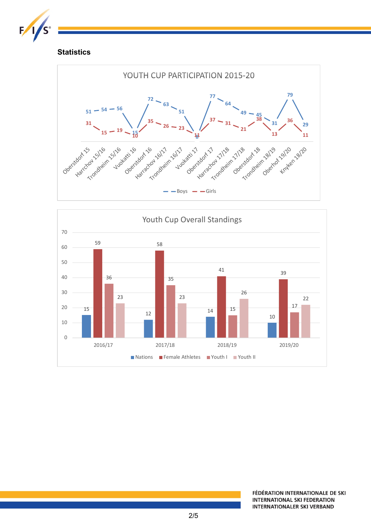

#### **Statistics**



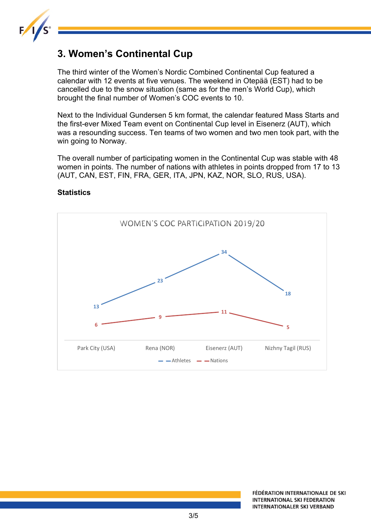

### **3. Women's Continental Cup**

The third winter of the Women's Nordic Combined Continental Cup featured a calendar with 12 events at five venues. The weekend in Otepää (EST) had to be cancelled due to the snow situation (same as for the men's World Cup), which brought the final number of Women's COC events to 10.

Next to the Individual Gundersen 5 km format, the calendar featured Mass Starts and the first-ever Mixed Team event on Continental Cup level in Eisenerz (AUT), which was a resounding success. Ten teams of two women and two men took part, with the win going to Norway.

The overall number of participating women in the Continental Cup was stable with 48 women in points. The number of nations with athletes in points dropped from 17 to 13 (AUT, CAN, EST, FIN, FRA, GER, ITA, JPN, KAZ, NOR, SLO, RUS, USA).

# WOMEN'S COC PARTICIPATION 2019/20 **34 23 18 13 11 9 6 5** Park City (USA) Rena (NOR) Eisenerz (AUT) Nizhny Tagil (RUS)  $-$  Athletes  $-$  Nations

#### **Statistics**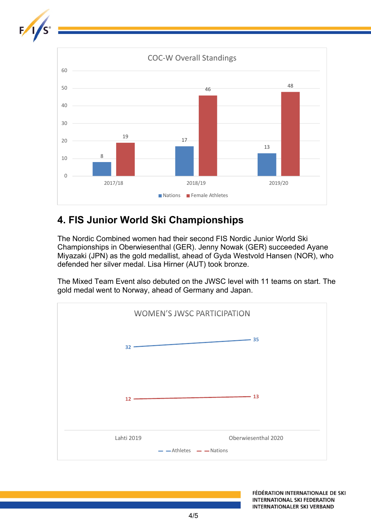

## **4. FIS Junior World Ski Championships**

The Nordic Combined women had their second FIS Nordic Junior World Ski Championships in Oberwiesenthal (GER). Jenny Nowak (GER) succeeded Ayane Miyazaki (JPN) as the gold medallist, ahead of Gyda Westvold Hansen (NOR), who defended her silver medal. Lisa Hirner (AUT) took bronze.

The Mixed Team Event also debuted on the JWSC level with 11 teams on start. The gold medal went to Norway, ahead of Germany and Japan.